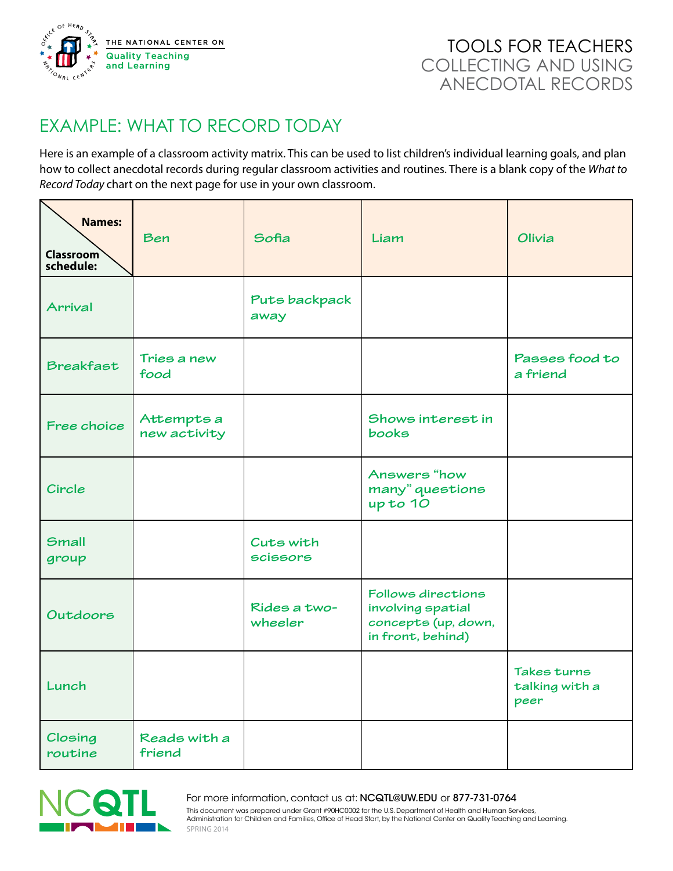

## EXAMPLE: WHAT TO RECORD TODAY

Here is an example of a classroom activity matrix. This can be used to list children's individual learning goals, and plan how to collect anecdotal records during regular classroom activities and routines. There is a blank copy of the *What to Record Today* chart on the next page for use in your own classroom.

| <b>Names:</b><br><b>Classroom</b><br>schedule: | Ben                        | Sofia                   | Liam                                                                                | Olivia                                |
|------------------------------------------------|----------------------------|-------------------------|-------------------------------------------------------------------------------------|---------------------------------------|
| <b>Arrival</b>                                 |                            | Puts backpack<br>away   |                                                                                     |                                       |
| <b>Breakfast</b>                               | Tries a new<br>food        |                         |                                                                                     | Passes food to<br>a friend            |
| Free choice                                    | Attempts a<br>new activity |                         | Shows interest in<br>books                                                          |                                       |
| Circle                                         |                            |                         | Answers "how<br>many" questions<br>up to 10                                         |                                       |
| <b>Small</b><br>group                          |                            | Cuts with<br>scissors   |                                                                                     |                                       |
| Outdoors                                       |                            | Rides a two-<br>wheeler | Follows directions<br>involving spatial<br>concepts (up, down,<br>in front, behind) |                                       |
| Lunch                                          |                            |                         |                                                                                     | Takes turns<br>talking with a<br>peer |
| Closing<br>routine                             | Reads with a<br>friend     |                         |                                                                                     |                                       |



This document was prepared under Grant #90HC0002 for the U.S. Department of Health and Human Services, Administration for Children and Families, Office of Head Start, by the National Center on Quality Teaching and Learning. For more information, contact us at: NCQTL@UW.EDU or 877-731-0764 SPRING 2014